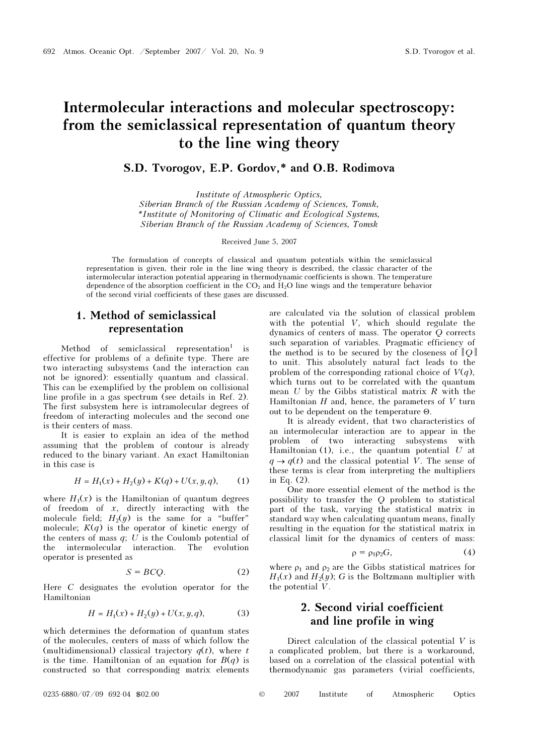# Intermolecular interactions and molecular spectroscopy: from the semiclassical representation of quantum theory to the line wing theory

## S.D. Tvorogov, E.P. Gordov,\* and O.B. Rodimova

Institute of Atmospheric Optics, Siberian Branch of the Russian Academy of Sciences, Tomsk, \*Institute of Monitoring of Climatic and Ecological Systems, Siberian Branch of the Russian Academy of Sciences, Tomsk

Received June 5, 2007

The formulation of concepts of classical and quantum potentials within the semiclassical representation is given, their role in the line wing theory is described, the classic character of the intermolecular interaction potential appearing in thermodynamic coefficients is shown. The temperature dependence of the absorption coefficient in the CO2 and H2O line wings and the temperature behavior of the second virial coefficients of these gases are discussed.

## 1. Method of semiclassical representation

Method of semiclassical representation<sup>1</sup> is effective for problems of a definite type. There are two interacting subsystems (and the interaction can not be ignored): essentially quantum and classical. This can be exemplified by the problem on collisional line profile in a gas spectrum (see details in Ref. 2). The first subsystem here is intramolecular degrees of freedom of interacting molecules and the second one is their centers of mass.

It is easier to explain an idea of the method assuming that the problem of contour is already reduced to the binary variant. An exact Hamiltonian in this case is

$$
H = H_1(x) + H_2(y) + K(q) + U(x, y, q), \qquad (1)
$$

where  $H_1(x)$  is the Hamiltonian of quantum degrees of freedom of  $x$ , directly interacting with the molecule field;  $H_2(y)$  is the same for a "buffer" molecule;  $K(q)$  is the operator of kinetic energy of the centers of mass  $q$ ;  $U$  is the Coulomb potential of the intermolecular interaction. The evolution operator is presented as

$$
S = BCQ.
$$
 (2)

Here C designates the evolution operator for the Hamiltonian

$$
H = H_1(x) + H_2(y) + U(x, y, q), \tag{3}
$$

which determines the deformation of quantum states of the molecules, centers of mass of which follow the (multidimensional) classical trajectory  $q(t)$ , where t is the time. Hamiltonian of an equation for  $B(q)$  is constructed so that corresponding matrix elements are calculated via the solution of classical problem with the potential V, which should regulate the dynamics of centers of mass. The operator Q corrects such separation of variables. Pragmatic efficiency of the method is to be secured by the closeness of  $||Q||$ to unit. This absolutely natural fact leads to the problem of the corresponding rational choice of  $V(q)$ , which turns out to be correlated with the quantum mean  $U$  by the Gibbs statistical matrix  $R$  with the Hamiltonian  $H$  and, hence, the parameters of  $V$  turn out to be dependent on the temperature Θ.

It is already evident, that two characteristics of an intermolecular interaction are to appear in the problem of two interacting subsystems with Hamiltonian  $(1)$ , i.e., the quantum potential U at  $q \rightarrow q(t)$  and the classical potential V. The sense of these terms is clear from interpreting the multipliers in Eq. (2).

One more essential element of the method is the possibility to transfer the Q problem to statistical part of the task, varying the statistical matrix in standard way when calculating quantum means, finally resulting in the equation for the statistical matrix in classical limit for the dynamics of centers of mass:

$$
\rho = \rho_1 \rho_2 G, \qquad (4)
$$

where  $\rho_1$  and  $\rho_2$  are the Gibbs statistical matrices for  $H_1(x)$  and  $H_2(y)$ ; G is the Boltzmann multiplier with the potential V.

# 2. Second virial coefficient and line profile in wing

Direct calculation of the classical potential  $V$  is a complicated problem, but there is a workaround, based on a correlation of the classical potential with thermodynamic gas parameters (virial coefficients,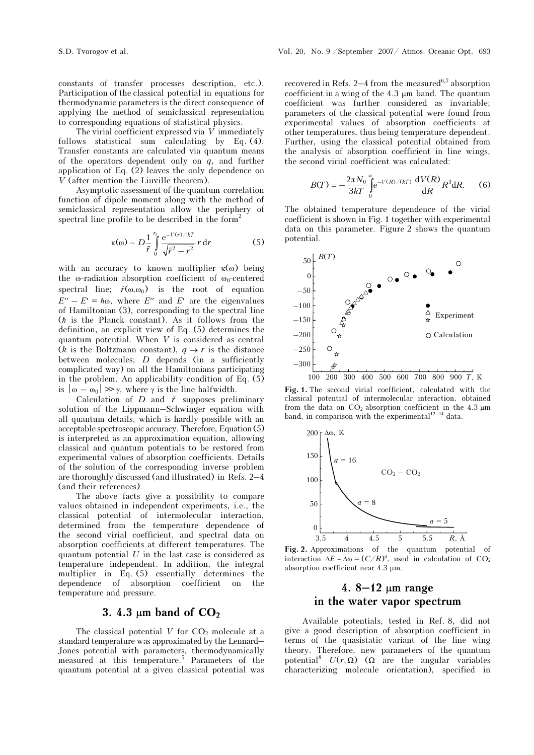The virial coefficient expressed via  $V$  immediately follows statistical sum calculating by Eq. (4). Transfer constants are calculated via quantum means of the operators dependent only on  $q$ , and further application of Eq.  $(2)$  leaves the only dependence on V (after mention the Liuville theorem).

Asymptotic assessment of the quantum correlation function of dipole moment along with the method of semiclassical representation allow the periphery of spectral line profile to be described in the form<sup>2</sup>

$$
\kappa(\omega) \sim D \frac{1}{\tilde{r}} \int_{0}^{r_s} \frac{e^{-V(r)/kT}}{\sqrt{\tilde{r}^2 - r^2}} r dr \qquad (5)
$$

with an accuracy to known multiplier  $\kappa(\omega)$  being the  $\omega$ -radiation absorption coefficient of  $\omega_0$ -centered with an accuracy to if<br>the  $\omega$ -radiation absorpispectral line;  $\tilde{r}(\omega, \omega_0)$ spectral line;  $\tilde{r}(\omega,\omega_0)$  is the root of equation  $E'' - E' = \hbar \omega$ , where E'' and E' are the eigenvalues of Hamiltonian (3), corresponding to the spectral line  $(h$  is the Planck constant). As it follows from the definition, an explicit view of Eq. (5) determines the quantum potential. When V is considered as central (k is the Boltzmann constant),  $q \rightarrow r$  is the distance between molecules; D depends (in a sufficiently complicated way) on all the Hamiltonians participating in the problem. An applicability condition of Eq. (5) is  $|\omega - \omega_0| \gg \gamma$ , where  $\gamma$  is the line halfwidth. een molecules; *D* dependicated way) on all the Hande problem. An applicability  $-\omega_0$   $\gg \gamma$ , where  $\gamma$  is the Calculation of *D* and  $\tilde{r}$ 

Calculation of D and  $\tilde{r}$  supposes preliminary solution of the Lippmann–Schwinger equation with all quantum details, which is hardly possible with an acceptable spectroscopic accuracy. Therefore, Equation (5) is interpreted as an approximation equation, allowing classical and quantum potentials to be restored from experimental values of absorption coefficients. Details of the solution of the corresponding inverse problem are thoroughly discussed (and illustrated) in Refs. 2–4 (and their references).

The above facts give a possibility to compare values obtained in independent experiments, i.e., the classical potential of intermolecular interaction, determined from the temperature dependence of the second virial coefficient, and spectral data on absorption coefficients at different temperatures. The quantum potential  $U$  in the last case is considered as temperature independent. In addition, the integral multiplier in Eq. (5) essentially determines the dependence of absorption coefficient on the temperature and pressure.

### 3. 4.3  $\mu$ m band of  $CO<sub>2</sub>$

The classical potential  $V$  for  $CO<sub>2</sub>$  molecule at a standard temperature was approximated by the Lennard– Jones potential with parameters, thermodynamically measured at this temperature.<sup>5</sup> Parameters of the quantum potential at a given classical potential was

recovered in Refs. 2–4 from the measured<sup>6,7</sup> absorption coefficient in a wing of the 4.3 μm band. The quantum coefficient was further considered as invariable; parameters of the classical potential were found from experimental values of absorption coefficients at other temperatures, thus being temperature dependent. Further, using the classical potential obtained from the analysis of absorption coefficient in line wings, the second virial coefficient was calculated:

$$
B(T) = -\frac{2\pi N_0}{3kT} \int_{0}^{\infty} e^{-V(R)/(kT)} \frac{dV(R)}{dR} R^3 dR.
$$
 (6)

The obtained temperature dependence of the virial coefficient is shown in Fig. 1 together with experimental data on this parameter. Figure 2 shows the quantum potential.



Fig. 1. The second virial coefficient, calculated with the classical potential of intermolecular interaction, obtained from the data on  $CO<sub>2</sub>$  absorption coefficient in the 4.3  $\mu$ m band, in comparison with the experimental $1^{12-14}$  data.



Fig. 2. Approximations of the quantum potential of interaction  $\Delta E \sim \Delta \omega = (C/R)^a$ , used in calculation of CO<sub>2</sub> absorption coefficient near 4.3 μm.

# 4. 8–12 µm range in the water vapor spectrum

Available potentials, tested in Ref. 8, did not give a good description of absorption coefficient in terms of the quasistatic variant of the line wing theory. Therefore, new parameters of the quantum potential<sup>8</sup>  $U(r, Ω)$  (Ω are the angular variables characterizing molecule orientation), specified in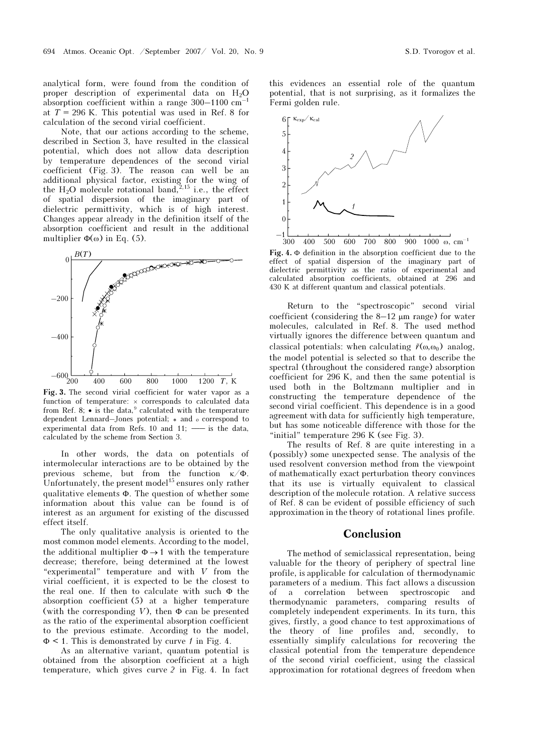analytical form, were found from the condition of proper description of experimental data on  $H_2O$ absorption coefficient within a range  $300-1100$  cm<sup>-1</sup> at  $T = 296$  K. This potential was used in Ref. 8 for calculation of the second virial coefficient.

Note, that our actions according to the scheme, described in Section 3, have resulted in the classical potential, which does not allow data description by temperature dependences of the second virial coefficient (Fig. 3). The reason can well be an additional physical factor, existing for the wing of the  $H_2O$  molecule rotational band,<sup>2,15</sup> i.e., the effect of spatial dispersion of the imaginary part of dielectric permittivity, which is of high interest. Changes appear already in the definition itself of the absorption coefficient and result in the additional multiplier  $\Phi(\omega)$  in Eq. (5).



Fig. 3. The second virial coefficient for water vapor as a function of temperature: × corresponds to calculated data from Ref. 8;  $\bullet$  is the data,<sup>9</sup> calculated with the temperature dependent Lennard–Jones potential; ∗ and <sup>ο</sup> correspond to experimental data from Refs.  $10$  and  $11$ ;  $\_\_$ is the data, calculated by the scheme from Section 3.

In other words, the data on potentials of intermolecular interactions are to be obtained by the previous scheme, but from the function  $\kappa/\Phi$ . Unfortunately, the present model<sup>15</sup> ensures only rather qualitative elements Φ. The question of whether some information about this value can be found is of interest as an argument for existing of the discussed effect itself.

The only qualitative analysis is oriented to the most common model elements. According to the model, the additional multiplier  $\Phi \rightarrow 1$  with the temperature decrease; therefore, being determined at the lowest "experimental" temperature and with V from the virial coefficient, it is expected to be the closest to the real one. If then to calculate with such Φ the absorption coefficient (5) at a higher temperature (with the corresponding V), then  $\Phi$  can be presented as the ratio of the experimental absorption coefficient to the previous estimate. According to the model,  $\Phi$  < 1. This is demonstrated by curve 1 in Fig. 4.

As an alternative variant, quantum potential is obtained from the absorption coefficient at a high temperature, which gives curve 2 in Fig. 4. In fact

this evidences an essential role of the quantum potential, that is not surprising, as it formalizes the Fermi golden rule.



Fig. 4. <sup>Φ</sup> definition in the absorption coefficient due to the effect of spatial dispersion of the imaginary part of dielectric permittivity as the ratio of experimental and calculated absorption coefficients, obtained at 296 and 430 K at different quantum and classical potentials.

Return to the "spectroscopic" second virial coefficient (considering the 8–12 μm range) for water molecules, calculated in Ref. 8. The used method virtually ignores the difference between quantum and Return to the "spectroscopic" secon<br>coefficient (considering the 8–12  $\mu$ m range) f<br>molecules, calculated in Ref. 8. The used<br>virtually ignores the difference between quan<br>classical potentials: when calculating  $\tilde{r}(\omega$ classical potentials: when calculating  $\tilde{r}(\omega,\omega_0)$  analog, the model potential is selected so that to describe the spectral (throughout the considered range) absorption coefficient for 296 K, and then the same potential is used both in the Boltzmann multiplier and in constructing the temperature dependence of the second virial coefficient. This dependence is in a good agreement with data for sufficiently high temperature, but has some noticeable difference with those for the "initial" temperature 296 K (see Fig. 3).

The results of Ref. 8 are quite interesting in a (possibly) some unexpected sense. The analysis of the used resolvent conversion method from the viewpoint of mathematically exact perturbation theory convinces that its use is virtually equivalent to classical description of the molecule rotation. A relative success of Ref. 8 can be evident of possible efficiency of such approximation in the theory of rotational lines profile.

#### Conclusion

The method of semiclassical representation, being valuable for the theory of periphery of spectral line profile, is applicable for calculation of thermodynamic parameters of a medium. This fact allows a discussion of a correlation between spectroscopic and thermodynamic parameters, comparing results of completely independent experiments. In its turn, this gives, firstly, a good chance to test approximations of the theory of line profiles and, secondly, to essentially simplify calculations for recovering the classical potential from the temperature dependence of the second virial coefficient, using the classical approximation for rotational degrees of freedom when